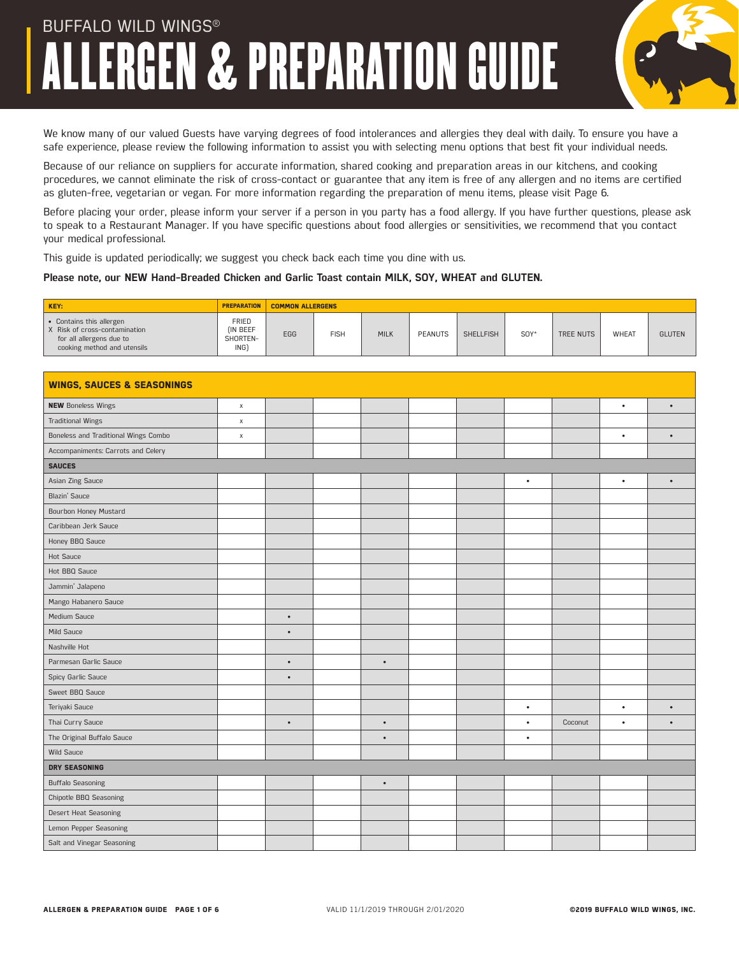

We know many of our valued Guests have varying degrees of food intolerances and allergies they deal with daily. To ensure you have a safe experience, please review the following information to assist you with selecting menu options that best fit your individual needs.

Because of our reliance on suppliers for accurate information, shared cooking and preparation areas in our kitchens, and cooking procedures, we cannot eliminate the risk of cross-contact or guarantee that any item is free of any allergen and no items are certified as gluten-free, vegetarian or vegan. For more information regarding the preparation of menu items, please visit Page 6.

Before placing your order, please inform your server if a person in you party has a food allergy. If you have further questions, please ask to speak to a Restaurant Manager. If you have specific questions about food allergies or sensitivities, we recommend that you contact your medical professional.

This guide is updated periodically; we suggest you check back each time you dine with us.

#### **Please note, our NEW Hand-Breaded Chicken and Garlic Toast contain MILK, SOY, WHEAT and GLUTEN.**

| <b>KEY:</b>                                                                                                          | <b>PREPARATION</b>                   |            | <b>COMMON ALLERGENS</b> |             |                |                  |         |           |              |               |  |
|----------------------------------------------------------------------------------------------------------------------|--------------------------------------|------------|-------------------------|-------------|----------------|------------------|---------|-----------|--------------|---------------|--|
| • Contains this allergen<br>X Risk of cross-contamination<br>for all allergens due to<br>cooking method and utensils | FRIED<br>(IN BEEF<br>SHORTEN-<br>ING | <b>EGG</b> | <b>FISH</b>             | <b>MILK</b> | <b>PEANUTS</b> | <b>SHELLFISH</b> | $SOY^*$ | TREE NUTS | <b>WHEAT</b> | <b>GLUTEN</b> |  |

| <b>WINGS, SAUCES &amp; SEASONINGS</b> |             |           |           |  |           |         |           |           |
|---------------------------------------|-------------|-----------|-----------|--|-----------|---------|-----------|-----------|
| <b>NEW Boneless Wings</b>             | $\mathsf X$ |           |           |  |           |         | $\bullet$ | $\bullet$ |
| <b>Traditional Wings</b>              | $\mathsf X$ |           |           |  |           |         |           |           |
| Boneless and Traditional Wings Combo  | $\mathsf X$ |           |           |  |           |         | $\bullet$ | $\bullet$ |
| Accompaniments: Carrots and Celery    |             |           |           |  |           |         |           |           |
| <b>SAUCES</b>                         |             |           |           |  |           |         |           |           |
| Asian Zing Sauce                      |             |           |           |  | $\bullet$ |         | $\bullet$ | $\bullet$ |
| Blazin' Sauce                         |             |           |           |  |           |         |           |           |
| Bourbon Honey Mustard                 |             |           |           |  |           |         |           |           |
| Caribbean Jerk Sauce                  |             |           |           |  |           |         |           |           |
| Honey BBQ Sauce                       |             |           |           |  |           |         |           |           |
| <b>Hot Sauce</b>                      |             |           |           |  |           |         |           |           |
| Hot BBQ Sauce                         |             |           |           |  |           |         |           |           |
| Jammin' Jalapeno                      |             |           |           |  |           |         |           |           |
| Mango Habanero Sauce                  |             |           |           |  |           |         |           |           |
| Medium Sauce                          |             | $\bullet$ |           |  |           |         |           |           |
| Mild Sauce                            |             | $\bullet$ |           |  |           |         |           |           |
| Nashville Hot                         |             |           |           |  |           |         |           |           |
| Parmesan Garlic Sauce                 |             | $\bullet$ | $\bullet$ |  |           |         |           |           |
| Spicy Garlic Sauce                    |             | $\bullet$ |           |  |           |         |           |           |
| Sweet BBQ Sauce                       |             |           |           |  |           |         |           |           |
| Teriyaki Sauce                        |             |           |           |  | $\bullet$ |         | $\bullet$ | $\bullet$ |
| Thai Curry Sauce                      |             | $\bullet$ | $\bullet$ |  | $\bullet$ | Coconut | $\bullet$ |           |
| The Original Buffalo Sauce            |             |           | $\bullet$ |  | $\bullet$ |         |           |           |
| Wild Sauce                            |             |           |           |  |           |         |           |           |
| <b>DRY SEASONING</b>                  |             |           |           |  |           |         |           |           |
| <b>Buffalo Seasoning</b>              |             |           | $\bullet$ |  |           |         |           |           |
| <b>Chipotle BBQ Seasoning</b>         |             |           |           |  |           |         |           |           |
| Desert Heat Seasoning                 |             |           |           |  |           |         |           |           |
| Lemon Pepper Seasoning                |             |           |           |  |           |         |           |           |
| Salt and Vinegar Seasoning            |             |           |           |  |           |         |           |           |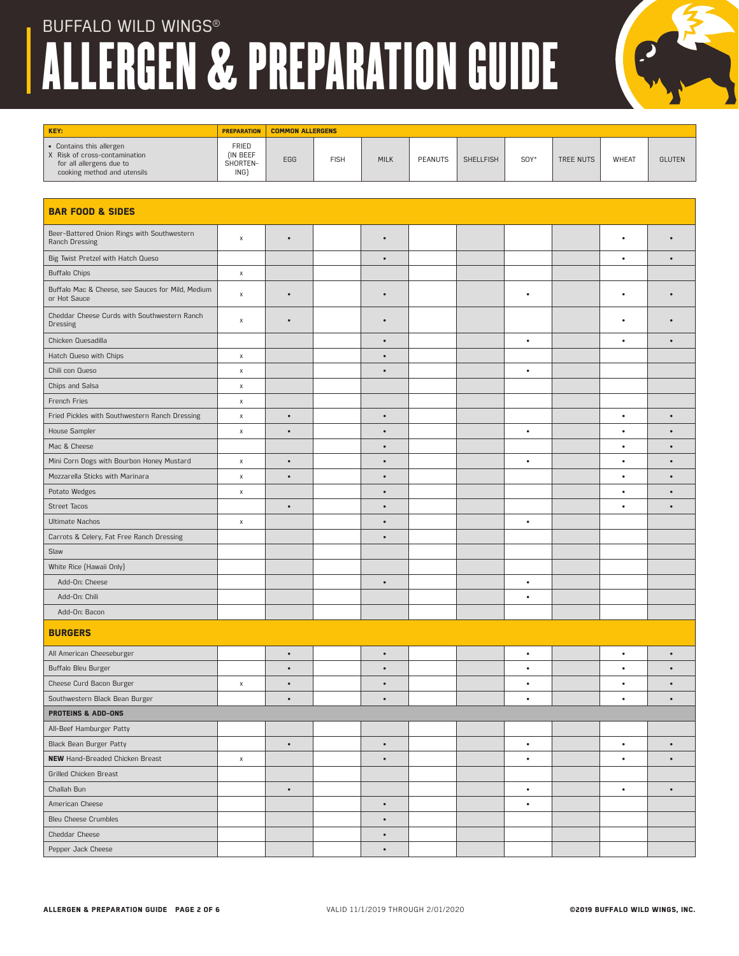| KEY:                                                                                                                 | <b>PREPARATION</b>                    | <b>COMMON ALLERGENS</b> |             |           |         |           |           |           |           |               |
|----------------------------------------------------------------------------------------------------------------------|---------------------------------------|-------------------------|-------------|-----------|---------|-----------|-----------|-----------|-----------|---------------|
| • Contains this allergen<br>X Risk of cross-contamination<br>for all allergens due to<br>cooking method and utensils | FRIED<br>(IN BEEF<br>SHORTEN-<br>ING) | EGG                     | <b>FISH</b> | MILK      | PEANUTS | SHELLFISH | $SOY^*$   | TREE NUTS | WHEAT     | <b>GLUTEN</b> |
|                                                                                                                      |                                       |                         |             |           |         |           |           |           |           |               |
| <b>BAR FOOD &amp; SIDES</b>                                                                                          |                                       |                         |             |           |         |           |           |           |           |               |
| Beer-Battered Onion Rings with Southwestern<br>Ranch Dressing                                                        | $\chi$                                | $\bullet$               |             | $\bullet$ |         |           |           |           | $\bullet$ |               |
| Big Twist Pretzel with Hatch Queso                                                                                   |                                       |                         |             | $\bullet$ |         |           |           |           | $\bullet$ | $\bullet$     |
| <b>Buffalo Chips</b>                                                                                                 | $\mathsf X$                           |                         |             |           |         |           |           |           |           |               |
| Buffalo Mac & Cheese, see Sauces for Mild, Medium<br>or Hot Sauce                                                    | $\mathsf X$                           | ٠                       |             | $\bullet$ |         |           | $\bullet$ |           | $\bullet$ |               |
| Cheddar Cheese Curds with Southwestern Ranch<br>Dressing                                                             | $\,$ X                                | $\bullet$               |             | $\bullet$ |         |           |           |           | $\bullet$ | $\bullet$     |
| Chicken Quesadilla                                                                                                   |                                       |                         |             | $\bullet$ |         |           | $\bullet$ |           | $\bullet$ | $\bullet$     |
| Hatch Queso with Chips                                                                                               | $\chi$                                |                         |             | $\bullet$ |         |           |           |           |           |               |
| Chili con Queso                                                                                                      | $\mathsf X$                           |                         |             | $\bullet$ |         |           | $\bullet$ |           |           |               |
| Chips and Salsa                                                                                                      | $\mathsf X$                           |                         |             |           |         |           |           |           |           |               |
| French Fries                                                                                                         | $\mathsf X$                           |                         |             |           |         |           |           |           |           |               |
| Fried Pickles with Southwestern Ranch Dressing                                                                       | $\mathsf X$                           | $\bullet$               |             | $\bullet$ |         |           |           |           | $\bullet$ | $\bullet$     |
| House Sampler                                                                                                        | $\mathsf X$                           | $\bullet$               |             | $\bullet$ |         |           | $\bullet$ |           | $\bullet$ |               |
| Mac & Cheese                                                                                                         |                                       |                         |             | $\bullet$ |         |           |           |           | $\bullet$ | $\bullet$     |
| Mini Corn Dogs with Bourbon Honey Mustard                                                                            | $\mathsf X$                           | $\bullet$               |             | $\bullet$ |         |           | $\bullet$ |           | $\bullet$ | $\bullet$     |
| Mozzarella Sticks with Marinara                                                                                      | $\mathsf X$                           | $\bullet$               |             | $\bullet$ |         |           |           |           | $\bullet$ | $\bullet$     |
| Potato Wedges                                                                                                        | X                                     |                         |             | $\bullet$ |         |           |           |           | $\bullet$ | $\bullet$     |
| <b>Street Tacos</b>                                                                                                  |                                       | $\bullet$               |             | $\bullet$ |         |           |           |           | $\bullet$ | $\bullet$     |
| <b>Ultimate Nachos</b>                                                                                               | $\mathsf X$                           |                         |             | $\bullet$ |         |           | $\bullet$ |           |           |               |
| Carrots & Celery, Fat Free Ranch Dressing                                                                            |                                       |                         |             | $\bullet$ |         |           |           |           |           |               |
| Slaw                                                                                                                 |                                       |                         |             |           |         |           |           |           |           |               |
| White Rice (Hawaii Only)                                                                                             |                                       |                         |             |           |         |           |           |           |           |               |
| Add-On: Cheese                                                                                                       |                                       |                         |             | $\bullet$ |         |           | $\bullet$ |           |           |               |
| Add-On: Chili                                                                                                        |                                       |                         |             |           |         |           | $\bullet$ |           |           |               |
| Add-On: Bacon                                                                                                        |                                       |                         |             |           |         |           |           |           |           |               |
| <b>BURGERS</b>                                                                                                       |                                       |                         |             |           |         |           |           |           |           |               |
| All American Cheeseburger                                                                                            |                                       | $\bullet$               |             | $\bullet$ |         |           | $\bullet$ |           | $\bullet$ | $\bullet$     |
| Buffalo Bleu Burger                                                                                                  |                                       | $\bullet$               |             | $\bullet$ |         |           | $\bullet$ |           | $\bullet$ | $\bullet$     |
| Cheese Curd Bacon Burger                                                                                             | $\mathsf X$                           | $\bullet$               |             | $\bullet$ |         |           | $\bullet$ |           |           |               |
| Southwestern Black Bean Burger                                                                                       |                                       | $\bullet$               |             | $\bullet$ |         |           | $\bullet$ |           | $\bullet$ | $\bullet$     |
| <b>PROTEINS &amp; ADD-ONS</b>                                                                                        |                                       |                         |             |           |         |           |           |           |           |               |
| All-Beef Hamburger Patty                                                                                             |                                       |                         |             |           |         |           |           |           |           |               |
| Black Bean Burger Patty                                                                                              |                                       | $\bullet$               |             | $\bullet$ |         |           | $\bullet$ |           | $\bullet$ | $\bullet$     |
| <b>NEW</b> Hand-Breaded Chicken Breast                                                                               | $\mathsf X$                           |                         |             | $\bullet$ |         |           | $\bullet$ |           | $\bullet$ | $\bullet$     |
| Grilled Chicken Breast                                                                                               |                                       |                         |             |           |         |           |           |           |           |               |
| Challah Bun                                                                                                          |                                       | $\bullet$               |             |           |         |           | $\bullet$ |           | $\bullet$ | $\bullet$     |
| American Cheese                                                                                                      |                                       |                         |             | $\bullet$ |         |           | $\bullet$ |           |           |               |
| <b>Bleu Cheese Crumbles</b>                                                                                          |                                       |                         |             | $\bullet$ |         |           |           |           |           |               |
| Cheddar Cheese                                                                                                       |                                       |                         |             | $\bullet$ |         |           |           |           |           |               |
| Pepper Jack Cheese                                                                                                   |                                       |                         |             | $\bullet$ |         |           |           |           |           |               |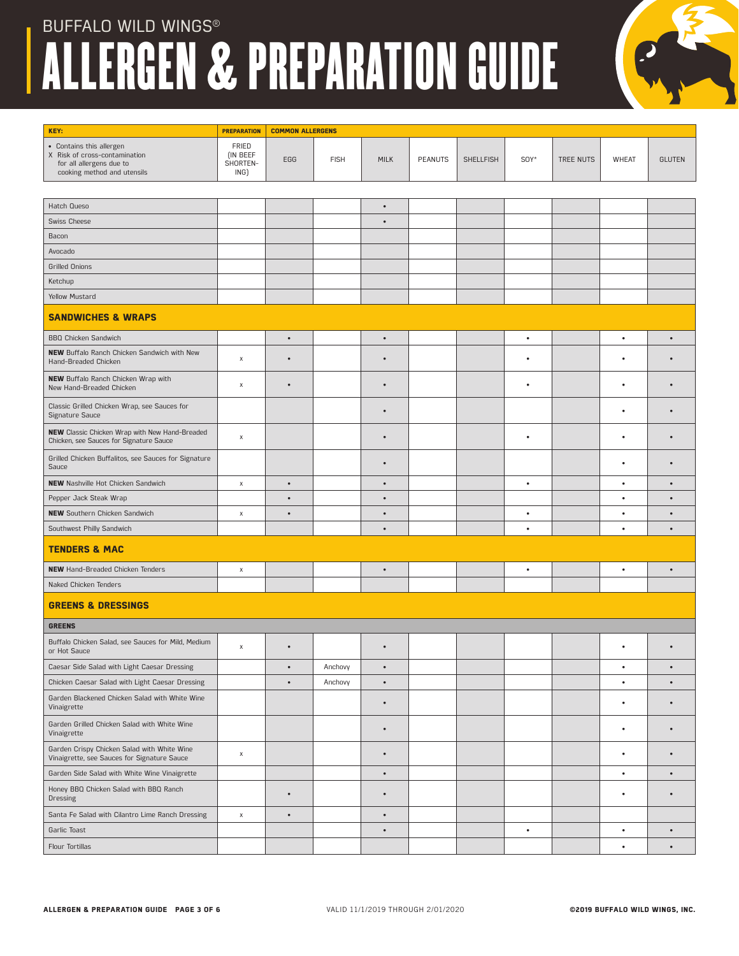| KEY:                                                                                                                 | <b>PREPARATION</b>                    | <b>COMMON ALLERGENS</b> |             |             |         |           |           |           |           |               |
|----------------------------------------------------------------------------------------------------------------------|---------------------------------------|-------------------------|-------------|-------------|---------|-----------|-----------|-----------|-----------|---------------|
| • Contains this allergen<br>X Risk of cross-contamination<br>for all allergens due to<br>cooking method and utensils | FRIED<br>(IN BEEF<br>SHORTEN-<br>ING) | EGG                     | <b>FISH</b> | <b>MILK</b> | PEANUTS | SHELLFISH | SOY*      | TREE NUTS | WHEAT     | <b>GLUTEN</b> |
|                                                                                                                      |                                       |                         |             |             |         |           |           |           |           |               |
| Hatch Queso                                                                                                          |                                       |                         |             | $\bullet$   |         |           |           |           |           |               |
| Swiss Cheese                                                                                                         |                                       |                         |             | $\bullet$   |         |           |           |           |           |               |
| Bacon                                                                                                                |                                       |                         |             |             |         |           |           |           |           |               |
| Avocado                                                                                                              |                                       |                         |             |             |         |           |           |           |           |               |
| <b>Grilled Onions</b>                                                                                                |                                       |                         |             |             |         |           |           |           |           |               |
| Ketchup                                                                                                              |                                       |                         |             |             |         |           |           |           |           |               |
| Yellow Mustard                                                                                                       |                                       |                         |             |             |         |           |           |           |           |               |
| <b>SANDWICHES &amp; WRAPS</b>                                                                                        |                                       |                         |             |             |         |           |           |           |           |               |
| <b>BBQ Chicken Sandwich</b>                                                                                          |                                       | $\bullet$               |             | $\bullet$   |         |           | $\bullet$ |           | $\bullet$ | $\bullet$     |
| <b>NEW</b> Buffalo Ranch Chicken Sandwich with New<br>Hand-Breaded Chicken                                           | Χ                                     | $\bullet$               |             | $\bullet$   |         |           | ٠         |           |           |               |
| <b>NEW</b> Buffalo Ranch Chicken Wrap with<br>New Hand-Breaded Chicken                                               | X                                     | $\bullet$               |             | $\bullet$   |         |           | $\bullet$ |           | ٠         | $\bullet$     |
| Classic Grilled Chicken Wrap, see Sauces for<br>Signature Sauce                                                      |                                       |                         |             | $\bullet$   |         |           |           |           |           | $\bullet$     |
| <b>NEW</b> Classic Chicken Wrap with New Hand-Breaded<br>Chicken, see Sauces for Signature Sauce                     | x                                     |                         |             | $\bullet$   |         |           | ٠         |           |           |               |
| Grilled Chicken Buffalitos, see Sauces for Signature<br>Sauce                                                        |                                       |                         |             | $\bullet$   |         |           |           |           | ٠         |               |
| <b>NEW</b> Nashville Hot Chicken Sandwich                                                                            | $\mathsf X$                           | $\bullet$               |             | $\bullet$   |         |           | $\bullet$ |           | $\bullet$ | $\bullet$     |
| Pepper Jack Steak Wrap                                                                                               |                                       | $\bullet$               |             | $\bullet$   |         |           |           |           | $\bullet$ | $\bullet$     |
| <b>NEW</b> Southern Chicken Sandwich                                                                                 | X                                     | $\bullet$               |             | $\bullet$   |         |           | $\bullet$ |           | $\bullet$ | $\bullet$     |
| Southwest Philly Sandwich                                                                                            |                                       |                         |             | $\bullet$   |         |           | $\bullet$ |           | $\bullet$ |               |
| <b>TENDERS &amp; MAC</b>                                                                                             |                                       |                         |             |             |         |           |           |           |           |               |
| <b>NEW</b> Hand-Breaded Chicken Tenders                                                                              | X                                     |                         |             | $\bullet$   |         |           | $\bullet$ |           | $\bullet$ | $\bullet$     |
| Naked Chicken Tenders                                                                                                |                                       |                         |             |             |         |           |           |           |           |               |
| <b>GREENS &amp; DRESSINGS</b>                                                                                        |                                       |                         |             |             |         |           |           |           |           |               |
| <b>GREENS</b>                                                                                                        |                                       |                         |             |             |         |           |           |           |           |               |
| Buffalo Chicken Salad, see Sauces for Mild, Medium<br>or Hot Sauce                                                   | Х                                     |                         |             |             |         |           |           |           |           |               |
| Caesar Side Salad with Light Caesar Dressing                                                                         |                                       | $\bullet$               | Anchovy     | $\bullet$   |         |           |           |           | $\bullet$ | $\bullet$     |
| Chicken Caesar Salad with Light Caesar Dressing                                                                      |                                       | $\bullet$               | Anchovy     | $\bullet$   |         |           |           |           | $\bullet$ | $\bullet$     |
| Garden Blackened Chicken Salad with White Wine<br>Vinaigrette                                                        |                                       |                         |             | $\bullet$   |         |           |           |           | $\bullet$ | $\bullet$     |
| Garden Grilled Chicken Salad with White Wine<br>Vinaigrette                                                          |                                       |                         |             | $\bullet$   |         |           |           |           | ٠         | $\bullet$     |
| Garden Crispy Chicken Salad with White Wine<br>Vinaigrette, see Sauces for Signature Sauce                           | X                                     |                         |             | $\bullet$   |         |           |           |           | $\bullet$ | $\bullet$     |
| Garden Side Salad with White Wine Vinaigrette                                                                        |                                       |                         |             | $\bullet$   |         |           |           |           | $\bullet$ | $\bullet$     |
| Honey BBQ Chicken Salad with BBQ Ranch<br><b>Dressing</b>                                                            |                                       | $\bullet$               |             | $\bullet$   |         |           |           |           | ۰         | $\bullet$     |
| Santa Fe Salad with Cilantro Lime Ranch Dressing                                                                     | X                                     | $\bullet$               |             | $\bullet$   |         |           |           |           |           |               |
| Garlic Toast                                                                                                         |                                       |                         |             | $\bullet$   |         |           | $\bullet$ |           | $\bullet$ | $\bullet$     |
| Flour Tortillas                                                                                                      |                                       |                         |             |             |         |           |           |           | $\bullet$ | $\bullet$     |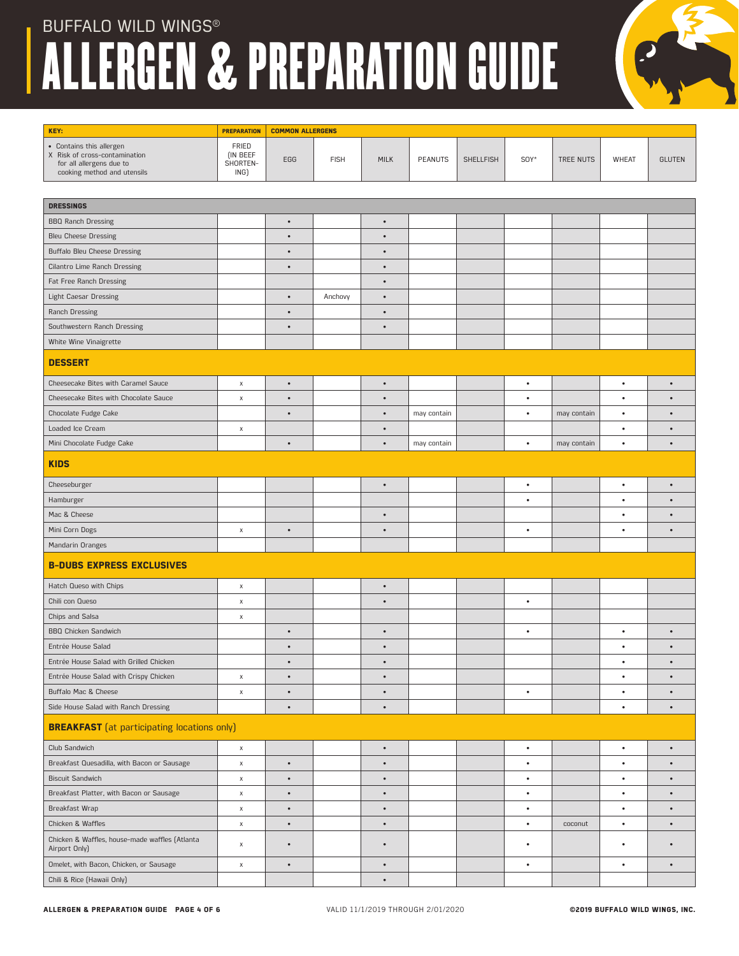| KEY:                                                                                                                 | <b>PREPARATION</b>                    | <b>COMMON ALLERGENS</b> |             |           |             |           |           |             |              |               |  |
|----------------------------------------------------------------------------------------------------------------------|---------------------------------------|-------------------------|-------------|-----------|-------------|-----------|-----------|-------------|--------------|---------------|--|
| • Contains this allergen<br>X Risk of cross-contamination<br>for all allergens due to<br>cooking method and utensils | FRIED<br>(IN BEEF<br>SHORTEN-<br>ING) | EGG                     | <b>FISH</b> | MILK      | PEANUTS     | SHELLFISH | $SOY^*$   | TREE NUTS   | <b>WHEAT</b> | <b>GLUTEN</b> |  |
|                                                                                                                      |                                       |                         |             |           |             |           |           |             |              |               |  |
| <b>DRESSINGS</b>                                                                                                     |                                       |                         |             |           |             |           |           |             |              |               |  |
| <b>BBQ Ranch Dressing</b>                                                                                            |                                       | $\bullet$               |             | $\bullet$ |             |           |           |             |              |               |  |
| <b>Bleu Cheese Dressing</b>                                                                                          |                                       | $\bullet$               |             | $\bullet$ |             |           |           |             |              |               |  |
| <b>Buffalo Bleu Cheese Dressing</b>                                                                                  |                                       | $\bullet$               |             | $\bullet$ |             |           |           |             |              |               |  |
| Cilantro Lime Ranch Dressing                                                                                         |                                       | $\bullet$               |             | $\bullet$ |             |           |           |             |              |               |  |
| Fat Free Ranch Dressing                                                                                              |                                       |                         |             | $\bullet$ |             |           |           |             |              |               |  |
| <b>Light Caesar Dressing</b>                                                                                         |                                       | $\bullet$               | Anchovy     | $\bullet$ |             |           |           |             |              |               |  |
| <b>Ranch Dressing</b>                                                                                                |                                       | $\bullet$               |             | $\bullet$ |             |           |           |             |              |               |  |
| Southwestern Ranch Dressing                                                                                          |                                       | $\bullet$               |             | $\bullet$ |             |           |           |             |              |               |  |
| White Wine Vinaigrette                                                                                               |                                       |                         |             |           |             |           |           |             |              |               |  |
| <b>DESSERT</b>                                                                                                       |                                       |                         |             |           |             |           |           |             |              |               |  |
| Cheesecake Bites with Caramel Sauce                                                                                  | $\mathsf X$                           | $\bullet$               |             | $\bullet$ |             |           | $\bullet$ |             | $\bullet$    | $\bullet$     |  |
| Cheesecake Bites with Chocolate Sauce                                                                                | $\mathsf X$                           | $\bullet$               |             | $\bullet$ |             |           | $\bullet$ |             | $\bullet$    | $\bullet$     |  |
| Chocolate Fudge Cake                                                                                                 |                                       | $\bullet$               |             | $\bullet$ | may contain |           | $\bullet$ | may contain | $\bullet$    | $\bullet$     |  |
| Loaded Ice Cream                                                                                                     | $\mathsf X$                           |                         |             | $\bullet$ |             |           |           |             | $\bullet$    | $\bullet$     |  |
| Mini Chocolate Fudge Cake                                                                                            |                                       | $\bullet$               |             | $\bullet$ | may contain |           | $\bullet$ | may contain | $\bullet$    | $\bullet$     |  |
| <b>KIDS</b>                                                                                                          |                                       |                         |             |           |             |           |           |             |              |               |  |
| Cheeseburger                                                                                                         |                                       |                         |             | $\bullet$ |             |           | $\bullet$ |             | $\bullet$    | $\bullet$     |  |
| Hamburger                                                                                                            |                                       |                         |             |           |             |           | $\bullet$ |             | $\bullet$    | $\bullet$     |  |
| Mac & Cheese                                                                                                         |                                       |                         |             | $\bullet$ |             |           |           |             | $\bullet$    | $\bullet$     |  |
| Mini Corn Dogs                                                                                                       | Χ                                     | $\bullet$               |             | $\bullet$ |             |           | $\bullet$ |             | $\bullet$    | $\bullet$     |  |
| Mandarin Oranges                                                                                                     |                                       |                         |             |           |             |           |           |             |              |               |  |
| <b>B-DUBS EXPRESS EXCLUSIVES</b>                                                                                     |                                       |                         |             |           |             |           |           |             |              |               |  |
| Hatch Queso with Chips                                                                                               | $\mathsf X$                           |                         |             | $\bullet$ |             |           |           |             |              |               |  |
| Chili con Queso                                                                                                      | Χ                                     |                         |             | $\bullet$ |             |           | $\bullet$ |             |              |               |  |
| Chips and Salsa                                                                                                      | $\mathsf X$                           |                         |             |           |             |           |           |             |              |               |  |
| <b>BBQ Chicken Sandwich</b>                                                                                          |                                       | $\bullet$               |             | $\bullet$ |             |           | $\bullet$ |             | $\bullet$    | $\bullet$     |  |
| Entrée House Salad                                                                                                   |                                       | $\bullet$               |             | $\bullet$ |             |           |           |             | $\bullet$    | $\bullet$     |  |
| Entrée House Salad with Grilled Chicken                                                                              |                                       | $\bullet$               |             | $\bullet$ |             |           |           |             | $\bullet$    |               |  |
| Entrée House Salad with Crispy Chicken                                                                               | $\mathsf X$                           | $\bullet$               |             | $\bullet$ |             |           |           |             | $\bullet$    | $\bullet$     |  |
| Buffalo Mac & Cheese                                                                                                 | $\mathsf X$                           | $\bullet$               |             | $\bullet$ |             |           | $\bullet$ |             | $\bullet$    | $\bullet$     |  |
| Side House Salad with Ranch Dressing                                                                                 |                                       | $\bullet$               |             | $\bullet$ |             |           |           |             | $\bullet$    | $\bullet$     |  |
| <b>BREAKFAST</b> (at participating locations only)                                                                   |                                       |                         |             |           |             |           |           |             |              |               |  |
| Club Sandwich                                                                                                        | Χ                                     |                         |             | $\bullet$ |             |           | $\bullet$ |             | $\bullet$    | $\bullet$     |  |
| Breakfast Quesadilla, with Bacon or Sausage                                                                          | $\mathsf X$                           | $\bullet$               |             | $\bullet$ |             |           | $\bullet$ |             | $\bullet$    | $\bullet$     |  |
| <b>Biscuit Sandwich</b>                                                                                              | $\mathsf X$                           | $\bullet$               |             | $\bullet$ |             |           | $\bullet$ |             | $\bullet$    | $\bullet$     |  |
| Breakfast Platter, with Bacon or Sausage                                                                             | $\mathsf X$                           | $\bullet$               |             | $\bullet$ |             |           | $\bullet$ |             | $\bullet$    | $\bullet$     |  |
| Breakfast Wrap                                                                                                       | Х                                     | $\bullet$               |             | $\bullet$ |             |           | $\bullet$ |             | $\bullet$    | $\bullet$     |  |
| Chicken & Waffles                                                                                                    | $\mathsf X$                           | $\bullet$               |             | $\bullet$ |             |           | $\bullet$ | coconut     | $\bullet$    | $\bullet$     |  |
| Chicken & Waffles, house-made waffles (Atlanta<br>Airport Only)                                                      | Х                                     | $\bullet$               |             | $\bullet$ |             |           | $\bullet$ |             | $\bullet$    | $\bullet$     |  |
| Omelet, with Bacon, Chicken, or Sausage                                                                              | $\mathsf X$                           | $\bullet$               |             | $\bullet$ |             |           | $\bullet$ |             | $\bullet$    | $\bullet$     |  |
| Chili & Rice (Hawaii Only)                                                                                           |                                       |                         |             | $\bullet$ |             |           |           |             |              |               |  |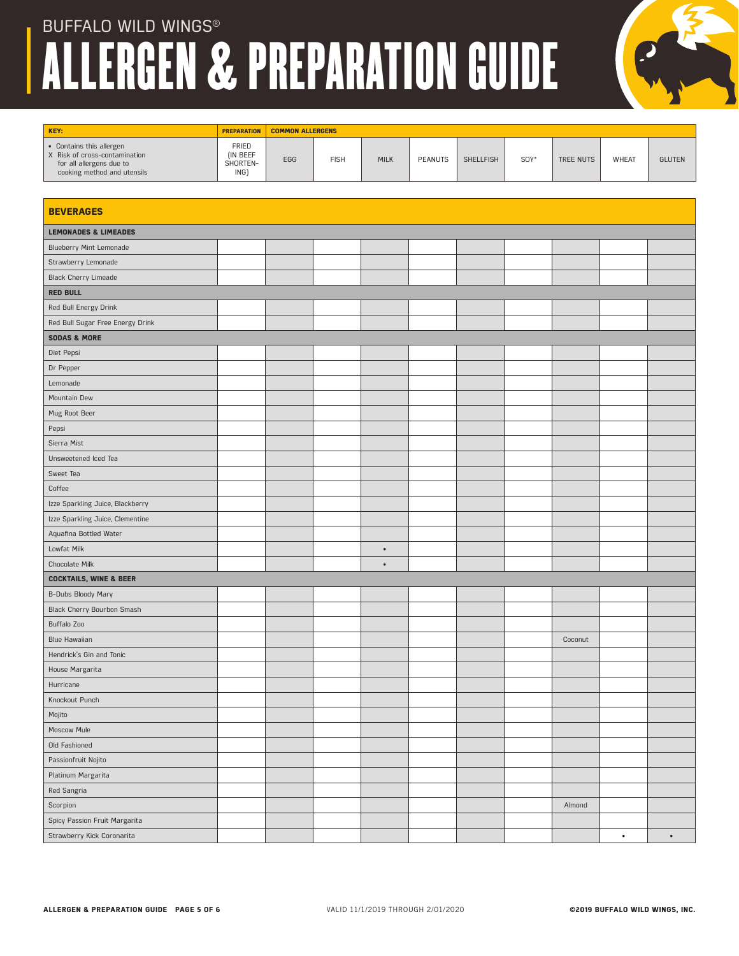| KEY:                                                                                                                 | <b>PREPARATION</b>                    | <b>COMMON ALLERGENS</b> |             |             |         |           |         |           |           |               |
|----------------------------------------------------------------------------------------------------------------------|---------------------------------------|-------------------------|-------------|-------------|---------|-----------|---------|-----------|-----------|---------------|
| • Contains this allergen<br>X Risk of cross-contamination<br>for all allergens due to<br>cooking method and utensils | FRIED<br>(IN BEEF<br>SHORTEN-<br>ING) | EGG                     | <b>FISH</b> | <b>MILK</b> | PEANUTS | SHELLFISH | $SOY^*$ | TREE NUTS | WHEAT     | <b>GLUTEN</b> |
|                                                                                                                      |                                       |                         |             |             |         |           |         |           |           |               |
| <b>BEVERAGES</b>                                                                                                     |                                       |                         |             |             |         |           |         |           |           |               |
| <b>LEMONADES &amp; LIMEADES</b>                                                                                      |                                       |                         |             |             |         |           |         |           |           |               |
| <b>Blueberry Mint Lemonade</b>                                                                                       |                                       |                         |             |             |         |           |         |           |           |               |
| Strawberry Lemonade                                                                                                  |                                       |                         |             |             |         |           |         |           |           |               |
| <b>Black Cherry Limeade</b>                                                                                          |                                       |                         |             |             |         |           |         |           |           |               |
| <b>RED BULL</b>                                                                                                      |                                       |                         |             |             |         |           |         |           |           |               |
| Red Bull Energy Drink                                                                                                |                                       |                         |             |             |         |           |         |           |           |               |
| Red Bull Sugar Free Energy Drink                                                                                     |                                       |                         |             |             |         |           |         |           |           |               |
| <b>SODAS &amp; MORE</b>                                                                                              |                                       |                         |             |             |         |           |         |           |           |               |
| Diet Pepsi                                                                                                           |                                       |                         |             |             |         |           |         |           |           |               |
| Dr Pepper                                                                                                            |                                       |                         |             |             |         |           |         |           |           |               |
| Lemonade                                                                                                             |                                       |                         |             |             |         |           |         |           |           |               |
| Mountain Dew                                                                                                         |                                       |                         |             |             |         |           |         |           |           |               |
| Mug Root Beer                                                                                                        |                                       |                         |             |             |         |           |         |           |           |               |
| Pepsi                                                                                                                |                                       |                         |             |             |         |           |         |           |           |               |
| Sierra Mist                                                                                                          |                                       |                         |             |             |         |           |         |           |           |               |
| Unsweetened Iced Tea                                                                                                 |                                       |                         |             |             |         |           |         |           |           |               |
| Sweet Tea                                                                                                            |                                       |                         |             |             |         |           |         |           |           |               |
| Coffee                                                                                                               |                                       |                         |             |             |         |           |         |           |           |               |
| Izze Sparkling Juice, Blackberry                                                                                     |                                       |                         |             |             |         |           |         |           |           |               |
| Izze Sparkling Juice, Clementine                                                                                     |                                       |                         |             |             |         |           |         |           |           |               |
| Aquafina Bottled Water                                                                                               |                                       |                         |             |             |         |           |         |           |           |               |
| Lowfat Milk                                                                                                          |                                       |                         |             | $\bullet$   |         |           |         |           |           |               |
| Chocolate Milk                                                                                                       |                                       |                         |             | $\bullet$   |         |           |         |           |           |               |
| <b>COCKTAILS, WINE &amp; BEER</b>                                                                                    |                                       |                         |             |             |         |           |         |           |           |               |
| B-Dubs Bloody Mary                                                                                                   |                                       |                         |             |             |         |           |         |           |           |               |
| Black Cherry Bourbon Smash                                                                                           |                                       |                         |             |             |         |           |         |           |           |               |
| Buffalo Zoo                                                                                                          |                                       |                         |             |             |         |           |         |           |           |               |
| Blue Hawaiian                                                                                                        |                                       |                         |             |             |         |           |         | Coconut   |           |               |
| Hendrick's Gin and Tonic                                                                                             |                                       |                         |             |             |         |           |         |           |           |               |
| House Margarita                                                                                                      |                                       |                         |             |             |         |           |         |           |           |               |
| Hurricane                                                                                                            |                                       |                         |             |             |         |           |         |           |           |               |
| Knockout Punch                                                                                                       |                                       |                         |             |             |         |           |         |           |           |               |
| Mojito                                                                                                               |                                       |                         |             |             |         |           |         |           |           |               |
| Moscow Mule                                                                                                          |                                       |                         |             |             |         |           |         |           |           |               |
| Old Fashioned                                                                                                        |                                       |                         |             |             |         |           |         |           |           |               |
| Passionfruit Nojito                                                                                                  |                                       |                         |             |             |         |           |         |           |           |               |
| Platinum Margarita                                                                                                   |                                       |                         |             |             |         |           |         |           |           |               |
| Red Sangria                                                                                                          |                                       |                         |             |             |         |           |         |           |           |               |
| Scorpion                                                                                                             |                                       |                         |             |             |         |           |         | Almond    |           |               |
| Spicy Passion Fruit Margarita                                                                                        |                                       |                         |             |             |         |           |         |           |           |               |
| Strawberry Kick Coronarita                                                                                           |                                       |                         |             |             |         |           |         |           | $\bullet$ | $\bullet$     |